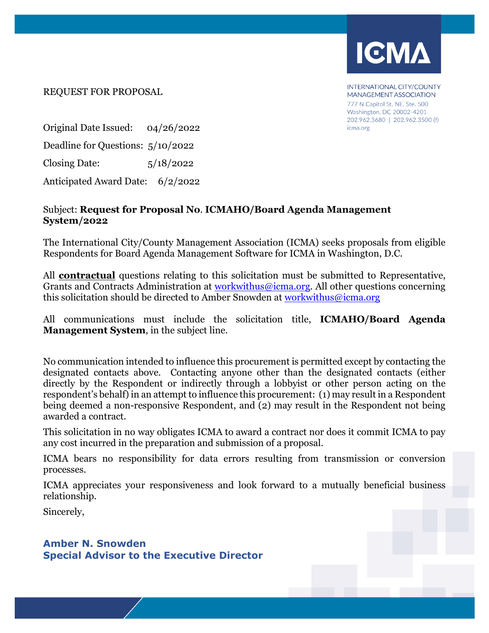

INTERNATIONAL CITY/COUNTY **MANAGEMENT ASSOCIATION** 777 N Capitol St. NE. Ste. 500 Washington, DC 20002-4201 202.962.3680 | 202.962.3500 (f) icma.org

REQUEST FOR PROPOSAL

Original Date Issued: 04/26/2022 Deadline for Questions: 5/10/2022 Closing Date: 5/18/2022 Anticipated Award Date: 6/2/2022

## Subject: **Request for Proposal No**. **ICMAHO/Board Agenda Management System/2022**

The International City/County Management Association (ICMA) seeks proposals from eligible Respondents for Board Agenda Management Software for ICMA in Washington, D.C.

All **contractual** questions relating to this solicitation must be submitted to Representative, Grants and Contracts Administration at [workwithus@icma.org.](mailto:tjohnson@icma.org) All other questions concerning this solicitation should be directed to Amber Snowden at [workwithus@icma.org](mailto:sagarunova@icma.org)

All communications must include the solicitation title, **ICMAHO/Board Agenda Management System**, in the subject line.

No communication intended to influence this procurement is permitted except by contacting the designated contacts above. Contacting anyone other than the designated contacts (either directly by the Respondent or indirectly through a lobbyist or other person acting on the respondent's behalf) in an attempt to influence this procurement: (1) may result in a Respondent being deemed a non-responsive Respondent, and (2) may result in the Respondent not being awarded a contract.

This solicitation in no way obligates ICMA to award a contract nor does it commit ICMA to pay any cost incurred in the preparation and submission of a proposal.

ICMA bears no responsibility for data errors resulting from transmission or conversion processes.

ICMA appreciates your responsiveness and look forward to a mutually beneficial business relationship.

Sincerely,

**Amber N. Snowden Special Advisor to the Executive Director**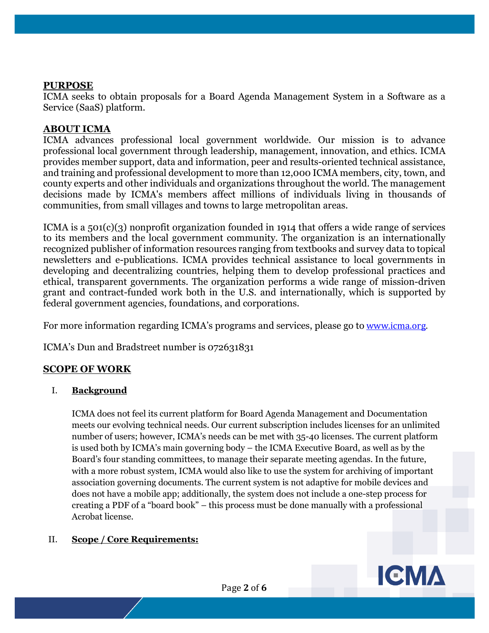## **PURPOSE**

ICMA seeks to obtain proposals for a Board Agenda Management System in a Software as a Service (SaaS) platform.

### **ABOUT ICMA**

ICMA advances professional local government worldwide. Our mission is to advance professional local government through leadership, management, innovation, and ethics. ICMA provides member support, data and information, peer and results-oriented technical assistance, and training and professional development to more than 12,000 ICMA members, city, town, and county experts and other individuals and organizations throughout the world. The management decisions made by ICMA's members affect millions of individuals living in thousands of communities, from small villages and towns to large metropolitan areas.

ICMA is a  $501(c)(3)$  nonprofit organization founded in 1914 that offers a wide range of services to its members and the local government community. The organization is an internationally recognized publisher of information resources ranging from textbooks and survey data to topical newsletters and e-publications. ICMA provides technical assistance to local governments in developing and decentralizing countries, helping them to develop professional practices and ethical, transparent governments. The organization performs a wide range of mission-driven grant and contract-funded work both in the U.S. and internationally, which is supported by federal government agencies, foundations, and corporations.

For more information regarding ICMA's programs and services, please go to [www.icma.org.](http://www.icma.org/) 

ICMA's Dun and Bradstreet number is 072631831

# **SCOPE OF WORK**

#### I. **Background**

ICMA does not feel its current platform for Board Agenda Management and Documentation meets our evolving technical needs. Our current subscription includes licenses for an unlimited number of users; however, ICMA's needs can be met with 35-40 licenses. The current platform is used both by ICMA's main governing body – the ICMA Executive Board, as well as by the Board's four standing committees, to manage their separate meeting agendas. In the future, with a more robust system, ICMA would also like to use the system for archiving of important association governing documents. The current system is not adaptive for mobile devices and does not have a mobile app; additionally, the system does not include a one-step process for creating a PDF of a "board book" – this process must be done manually with a professional Acrobat license.

## II. **Scope / Core Requirements:**

**ICMA**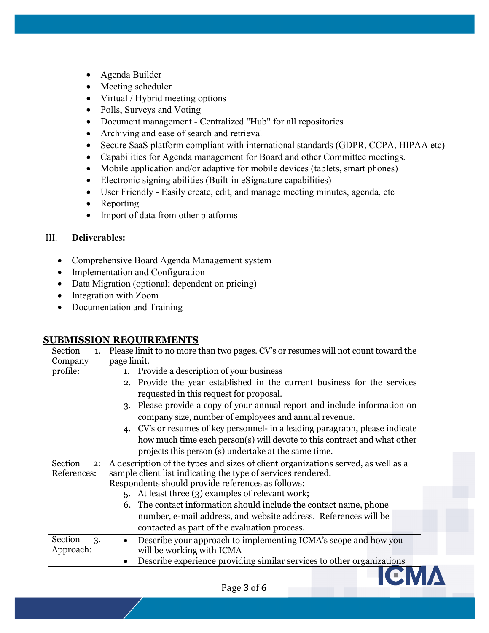- Agenda Builder
- Meeting scheduler
- Virtual / Hybrid meeting options
- Polls, Surveys and Voting
- Document management Centralized "Hub" for all repositories
- Archiving and ease of search and retrieval
- Secure SaaS platform compliant with international standards (GDPR, CCPA, HIPAA etc)
- Capabilities for Agenda management for Board and other Committee meetings.
- Mobile application and/or adaptive for mobile devices (tablets, smart phones)
- Electronic signing abilities (Built-in eSignature capabilities)
- User Friendly Easily create, edit, and manage meeting minutes, agenda, etc
- Reporting
- Import of data from other platforms

#### III. **Deliverables:**

- Comprehensive Board Agenda Management system
- Implementation and Configuration
- Data Migration (optional; dependent on pricing)
- Integration with Zoom
- Documentation and Training

#### **SUBMISSION REQUIREMENTS**

| Section<br>1.                | Please limit to no more than two pages. CV's or resumes will not count toward the                                                                                                                      |
|------------------------------|--------------------------------------------------------------------------------------------------------------------------------------------------------------------------------------------------------|
| Company                      | page limit.                                                                                                                                                                                            |
| profile:                     | Provide a description of your business<br>1.                                                                                                                                                           |
|                              | 2. Provide the year established in the current business for the services<br>requested in this request for proposal.                                                                                    |
|                              | Please provide a copy of your annual report and include information on<br>3.<br>company size, number of employees and annual revenue.                                                                  |
|                              | 4. CV's or resumes of key personnel- in a leading paragraph, please indicate<br>how much time each person(s) will devote to this contract and what other                                               |
|                              | projects this person (s) undertake at the same time.                                                                                                                                                   |
| Section<br>2:<br>References: | A description of the types and sizes of client organizations served, as well as a<br>sample client list indicating the type of services rendered.<br>Respondents should provide references as follows: |
|                              | 5. At least three (3) examples of relevant work;                                                                                                                                                       |
|                              | 6. The contact information should include the contact name, phone                                                                                                                                      |
|                              | number, e-mail address, and website address. References will be<br>contacted as part of the evaluation process.                                                                                        |
| Section<br>3.<br>Approach:   | Describe your approach to implementing ICMA's scope and how you<br>will be working with ICMA                                                                                                           |
|                              | Describe experience providing similar services to other organizations                                                                                                                                  |
|                              |                                                                                                                                                                                                        |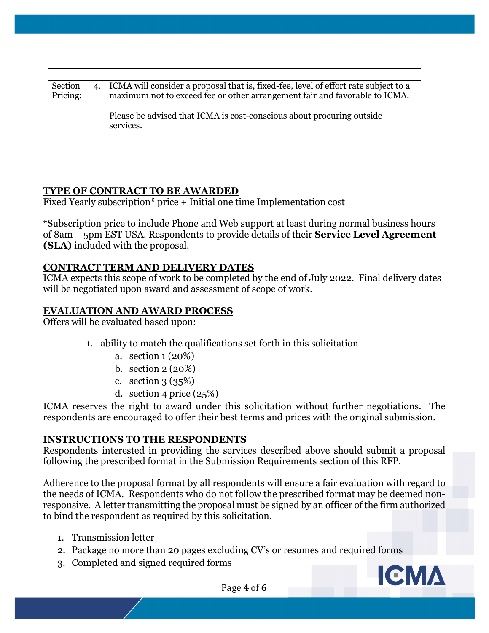| Section<br>Pricing: | 4. CMA will consider a proposal that is, fixed-fee, level of effort rate subject to a<br>maximum not to exceed fee or other arrangement fair and favorable to ICMA. |
|---------------------|---------------------------------------------------------------------------------------------------------------------------------------------------------------------|
|                     | Please be advised that ICMA is cost-conscious about procuring outside<br>services.                                                                                  |

# **TYPE OF CONTRACT TO BE AWARDED**

Fixed Yearly subscription\* price + Initial one time Implementation cost

\*Subscription price to include Phone and Web support at least during normal business hours of 8am – 5pm EST USA. Respondents to provide details of their **Service Level Agreement (SLA)** included with the proposal.

## **CONTRACT TERM AND DELIVERY DATES**

ICMA expects this scope of work to be completed by the end of July 2022. Final delivery dates will be negotiated upon award and assessment of scope of work.

### **EVALUATION AND AWARD PROCESS**

Offers will be evaluated based upon:

- 1. ability to match the qualifications set forth in this solicitation
	- a. section 1 (20%)
	- b. section 2 (20%)
	- c. section 3 (35%)
	- d. section 4 price  $(25%)$

ICMA reserves the right to award under this solicitation without further negotiations. The respondents are encouraged to offer their best terms and prices with the original submission.

## **INSTRUCTIONS TO THE RESPONDENTS**

Respondents interested in providing the services described above should submit a proposal following the prescribed format in the Submission Requirements section of this RFP.

Adherence to the proposal format by all respondents will ensure a fair evaluation with regard to the needs of ICMA. Respondents who do not follow the prescribed format may be deemed nonresponsive. A letter transmitting the proposal must be signed by an officer of the firm authorized to bind the respondent as required by this solicitation.

- 1. Transmission letter
- 2. Package no more than 20 pages excluding CV's or resumes and required forms
- 3. Completed and signed required forms

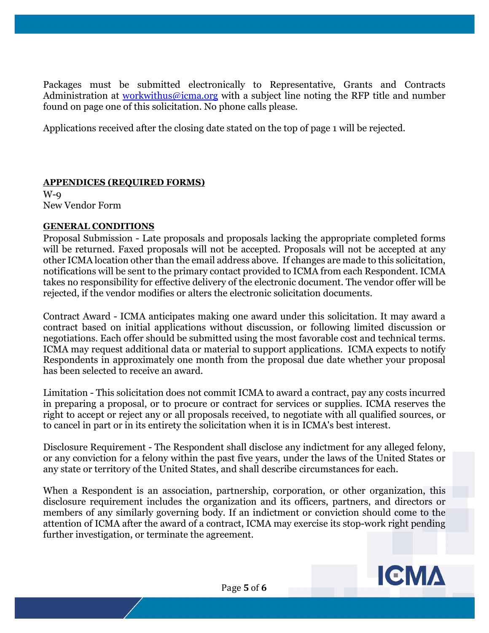Packages must be submitted electronically to Representative, Grants and Contracts Administration at [workwithus@icma.org](mailto:ikaushansky@icma.org) with a subject line noting the RFP title and number found on page one of this solicitation. No phone calls please.

Applications received after the closing date stated on the top of page 1 will be rejected.

## **APPENDICES (REQUIRED FORMS)**

W-9 New Vendor Form

## **GENERAL CONDITIONS**

Proposal Submission - Late proposals and proposals lacking the appropriate completed forms will be returned. Faxed proposals will not be accepted. Proposals will not be accepted at any other ICMA location other than the email address above. If changes are made to this solicitation, notifications will be sent to the primary contact provided to ICMA from each Respondent. ICMA takes no responsibility for effective delivery of the electronic document. The vendor offer will be rejected, if the vendor modifies or alters the electronic solicitation documents.

Contract Award - ICMA anticipates making one award under this solicitation. It may award a contract based on initial applications without discussion, or following limited discussion or negotiations. Each offer should be submitted using the most favorable cost and technical terms. ICMA may request additional data or material to support applications. ICMA expects to notify Respondents in approximately one month from the proposal due date whether your proposal has been selected to receive an award.

Limitation - This solicitation does not commit ICMA to award a contract, pay any costs incurred in preparing a proposal, or to procure or contract for services or supplies. ICMA reserves the right to accept or reject any or all proposals received, to negotiate with all qualified sources, or to cancel in part or in its entirety the solicitation when it is in ICMA's best interest.

Disclosure Requirement - The Respondent shall disclose any indictment for any alleged felony, or any conviction for a felony within the past five years, under the laws of the United States or any state or territory of the United States, and shall describe circumstances for each.

When a Respondent is an association, partnership, corporation, or other organization, this disclosure requirement includes the organization and its officers, partners, and directors or members of any similarly governing body. If an indictment or conviction should come to the attention of ICMA after the award of a contract, ICMA may exercise its stop-work right pending further investigation, or terminate the agreement.